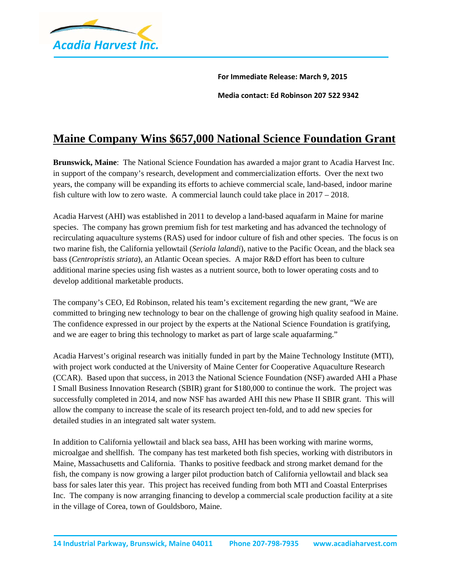

**For Immediate Release: March 9, 2015 Media contact: Ed Robinson 207 522 9342**

## **Maine Company Wins \$657,000 National Science Foundation Grant**

**Brunswick, Maine**: The National Science Foundation has awarded a major grant to Acadia Harvest Inc. in support of the company's research, development and commercialization efforts. Over the next two years, the company will be expanding its efforts to achieve commercial scale, land-based, indoor marine fish culture with low to zero waste. A commercial launch could take place in 2017 – 2018.

Acadia Harvest (AHI) was established in 2011 to develop a land-based aquafarm in Maine for marine species. The company has grown premium fish for test marketing and has advanced the technology of recirculating aquaculture systems (RAS) used for indoor culture of fish and other species. The focus is on two marine fish, the California yellowtail (*Seriola lalandi*), native to the Pacific Ocean, and the black sea bass (*Centropristis striata*), an Atlantic Ocean species. A major R&D effort has been to culture additional marine species using fish wastes as a nutrient source, both to lower operating costs and to develop additional marketable products.

The company's CEO, Ed Robinson, related his team's excitement regarding the new grant, "We are committed to bringing new technology to bear on the challenge of growing high quality seafood in Maine. The confidence expressed in our project by the experts at the National Science Foundation is gratifying, and we are eager to bring this technology to market as part of large scale aquafarming."

Acadia Harvest's original research was initially funded in part by the Maine Technology Institute (MTI), with project work conducted at the University of Maine Center for Cooperative Aquaculture Research (CCAR). Based upon that success, in 2013 the National Science Foundation (NSF) awarded AHI a Phase I Small Business Innovation Research (SBIR) grant for \$180,000 to continue the work. The project was successfully completed in 2014, and now NSF has awarded AHI this new Phase II SBIR grant. This will allow the company to increase the scale of its research project ten-fold, and to add new species for detailed studies in an integrated salt water system.

In addition to California yellowtail and black sea bass, AHI has been working with marine worms, microalgae and shellfish. The company has test marketed both fish species, working with distributors in Maine, Massachusetts and California. Thanks to positive feedback and strong market demand for the fish, the company is now growing a larger pilot production batch of California yellowtail and black sea bass for sales later this year. This project has received funding from both MTI and Coastal Enterprises Inc. The company is now arranging financing to develop a commercial scale production facility at a site in the village of Corea, town of Gouldsboro, Maine.